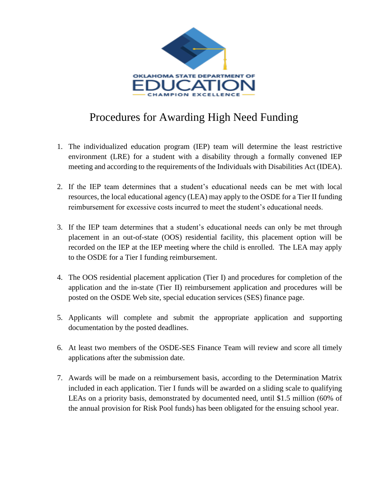

## Procedures for Awarding High Need Funding

- 1. The individualized education program (IEP) team will determine the least restrictive environment (LRE) for a student with a disability through a formally convened IEP meeting and according to the requirements of the Individuals with Disabilities Act (IDEA).
- 2. If the IEP team determines that a student's educational needs can be met with local resources, the local educational agency (LEA) may apply to the OSDE for a Tier II funding reimbursement for excessive costs incurred to meet the student's educational needs.
- 3. If the IEP team determines that a student's educational needs can only be met through placement in an out-of-state (OOS) residential facility, this placement option will be recorded on the IEP at the IEP meeting where the child is enrolled. The LEA may apply to the OSDE for a Tier I funding reimbursement.
- 4. The OOS residential placement application (Tier I) and procedures for completion of the application and the in-state (Tier II) reimbursement application and procedures will be posted on the OSDE Web site, special education services (SES) finance page.
- 5. Applicants will complete and submit the appropriate application and supporting documentation by the posted deadlines.
- 6. At least two members of the OSDE-SES Finance Team will review and score all timely applications after the submission date.
- 7. Awards will be made on a reimbursement basis, according to the Determination Matrix included in each application. Tier I funds will be awarded on a sliding scale to qualifying LEAs on a priority basis, demonstrated by documented need, until \$1.5 million (60% of the annual provision for Risk Pool funds) has been obligated for the ensuing school year.